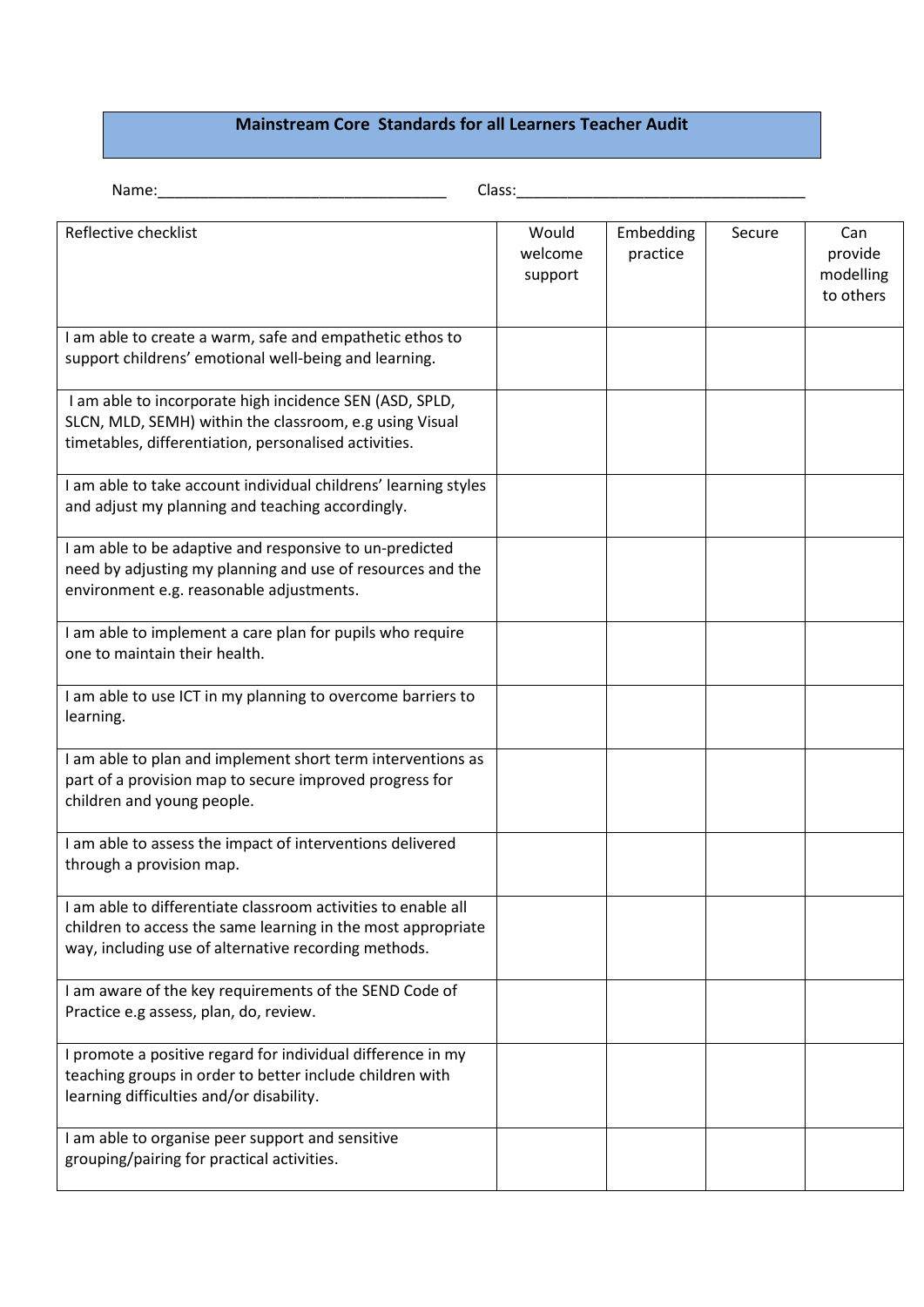## **Mainstream Core Standards for all Learners Teacher Audit**

Name:\_\_\_\_\_\_\_\_\_\_\_\_\_\_\_\_\_\_\_\_\_\_\_\_\_\_\_\_\_\_\_\_\_\_ Class:\_\_\_\_\_\_\_\_\_\_\_\_\_\_\_\_\_\_\_\_\_\_\_\_\_\_\_\_\_\_\_\_\_\_

| Reflective checklist                                                                                                                                                                  | Would<br>welcome<br>support | Embedding<br>practice | Secure | Can<br>provide<br>modelling<br>to others |
|---------------------------------------------------------------------------------------------------------------------------------------------------------------------------------------|-----------------------------|-----------------------|--------|------------------------------------------|
| I am able to create a warm, safe and empathetic ethos to<br>support childrens' emotional well-being and learning.                                                                     |                             |                       |        |                                          |
| I am able to incorporate high incidence SEN (ASD, SPLD,<br>SLCN, MLD, SEMH) within the classroom, e.g using Visual<br>timetables, differentiation, personalised activities.           |                             |                       |        |                                          |
| I am able to take account individual childrens' learning styles<br>and adjust my planning and teaching accordingly.                                                                   |                             |                       |        |                                          |
| I am able to be adaptive and responsive to un-predicted<br>need by adjusting my planning and use of resources and the<br>environment e.g. reasonable adjustments.                     |                             |                       |        |                                          |
| I am able to implement a care plan for pupils who require<br>one to maintain their health.                                                                                            |                             |                       |        |                                          |
| I am able to use ICT in my planning to overcome barriers to<br>learning.                                                                                                              |                             |                       |        |                                          |
| I am able to plan and implement short term interventions as<br>part of a provision map to secure improved progress for<br>children and young people.                                  |                             |                       |        |                                          |
| I am able to assess the impact of interventions delivered<br>through a provision map.                                                                                                 |                             |                       |        |                                          |
| I am able to differentiate classroom activities to enable all<br>children to access the same learning in the most appropriate<br>way, including use of alternative recording methods. |                             |                       |        |                                          |
| I am aware of the key requirements of the SEND Code of<br>Practice e.g assess, plan, do, review.                                                                                      |                             |                       |        |                                          |
| I promote a positive regard for individual difference in my<br>teaching groups in order to better include children with<br>learning difficulties and/or disability.                   |                             |                       |        |                                          |
| I am able to organise peer support and sensitive<br>grouping/pairing for practical activities.                                                                                        |                             |                       |        |                                          |